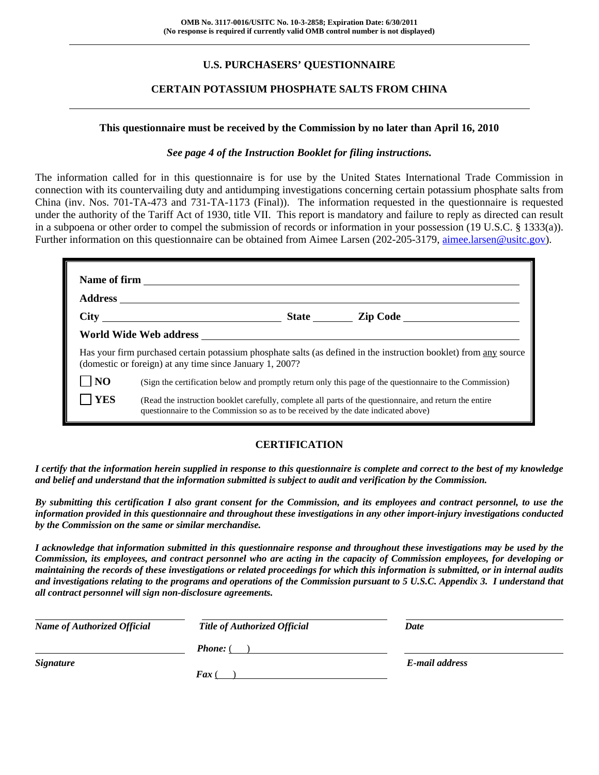## **U.S. PURCHASERS' QUESTIONNAIRE**

## **CERTAIN POTASSIUM PHOSPHATE SALTS FROM CHINA**

#### **This questionnaire must be received by the Commission by no later than April 16, 2010**

#### *See page 4 of the Instruction Booklet for filing instructions.*

The information called for in this questionnaire is for use by the United States International Trade Commission in connection with its countervailing duty and antidumping investigations concerning certain potassium phosphate salts from China (inv. Nos. 701-TA-473 and 731-TA-1173 (Final)). The information requested in the questionnaire is requested under the authority of the Tariff Act of 1930, title VII. This report is mandatory and failure to reply as directed can result in a subpoena or other order to compel the submission of records or information in your possession (19 U.S.C. § 1333(a)). Further information on this questionnaire can be obtained from Aimee Larsen (202-205-3179, aimee.larsen@usitc.gov).

|                | Has your firm purchased certain potassium phosphate salts (as defined in the instruction booklet) from any source<br>(domestic or foreign) at any time since January 1, 2007?                |  |  |  |  |  |
|----------------|----------------------------------------------------------------------------------------------------------------------------------------------------------------------------------------------|--|--|--|--|--|
| N <sub>O</sub> | (Sign the certification below and promptly return only this page of the questionnaire to the Commission)                                                                                     |  |  |  |  |  |
| <b>YES</b>     | (Read the instruction booklet carefully, complete all parts of the questionnaire, and return the entire<br>questionnaire to the Commission so as to be received by the date indicated above) |  |  |  |  |  |

#### **CERTIFICATION**

*I certify that the information herein supplied in response to this questionnaire is complete and correct to the best of my knowledge and belief and understand that the information submitted is subject to audit and verification by the Commission.* 

*By submitting this certification I also grant consent for the Commission, and its employees and contract personnel, to use the information provided in this questionnaire and throughout these investigations in any other import-injury investigations conducted by the Commission on the same or similar merchandise.* 

*I acknowledge that information submitted in this questionnaire response and throughout these investigations may be used by the Commission, its employees, and contract personnel who are acting in the capacity of Commission employees, for developing or maintaining the records of these investigations or related proceedings for which this information is submitted, or in internal audits and investigations relating to the programs and operations of the Commission pursuant to 5 U.S.C. Appendix 3. I understand that all contract personnel will sign non-disclosure agreements.* 

| <b>Name of Authorized Official</b> | <b>Title of Authorized Official</b> | Date           |
|------------------------------------|-------------------------------------|----------------|
|                                    | <b>Phone:</b> (                     |                |
| <b>Signature</b>                   |                                     | E-mail address |
|                                    | <b>Fax</b>                          |                |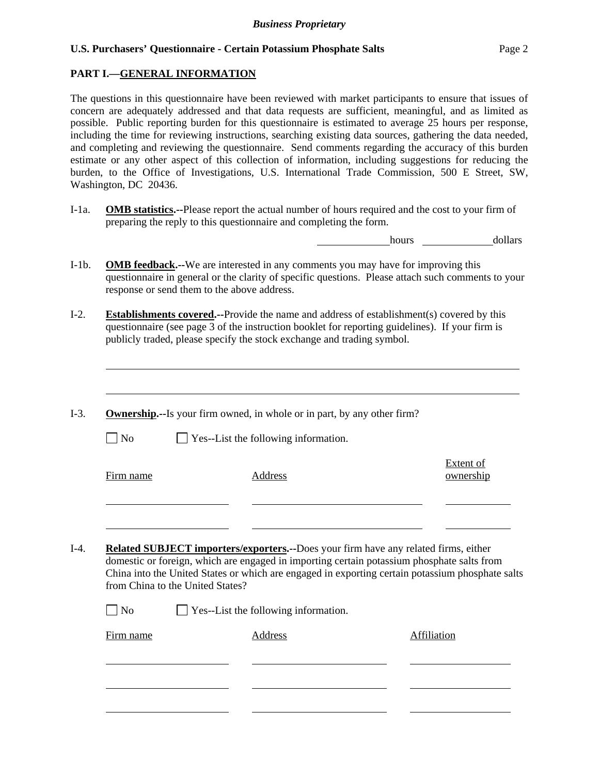## **PART I.—GENERAL INFORMATION**

 $\overline{a}$ 

The questions in this questionnaire have been reviewed with market participants to ensure that issues of concern are adequately addressed and that data requests are sufficient, meaningful, and as limited as possible. Public reporting burden for this questionnaire is estimated to average 25 hours per response, including the time for reviewing instructions, searching existing data sources, gathering the data needed, and completing and reviewing the questionnaire. Send comments regarding the accuracy of this burden estimate or any other aspect of this collection of information, including suggestions for reducing the burden, to the Office of Investigations, U.S. International Trade Commission, 500 E Street, SW, Washington, DC 20436.

I-1a. **OMB statistics.--**Please report the actual number of hours required and the cost to your firm of preparing the reply to this questionnaire and completing the form.

hours dollars

- I-1b. **OMB feedback.--**We are interested in any comments you may have for improving this questionnaire in general or the clarity of specific questions. Please attach such comments to your response or send them to the above address.
- I-2. **Establishments covered.--**Provide the name and address of establishment(s) covered by this questionnaire (see page 3 of the instruction booklet for reporting guidelines). If your firm is publicly traded, please specify the stock exchange and trading symbol.
- I-3. **Ownership.--**Is your firm owned, in whole or in part, by any other firm?  $\Box$  No  $\Box$  Yes--List the following information. Firm name Address Extent of ownership l l I-4. **Related SUBJECT importers/exporters.--**Does your firm have any related firms, either
	- domestic or foreign, which are engaged in importing certain potassium phosphate salts from China into the United States or which are engaged in exporting certain potassium phosphate salts from China to the United States?

| $\Box$ No | $\Box$ Yes--List the following information. |         |             |  |
|-----------|---------------------------------------------|---------|-------------|--|
| Firm name |                                             | Address | Affiliation |  |
|           |                                             |         |             |  |
|           |                                             |         |             |  |
|           |                                             |         |             |  |
|           |                                             |         |             |  |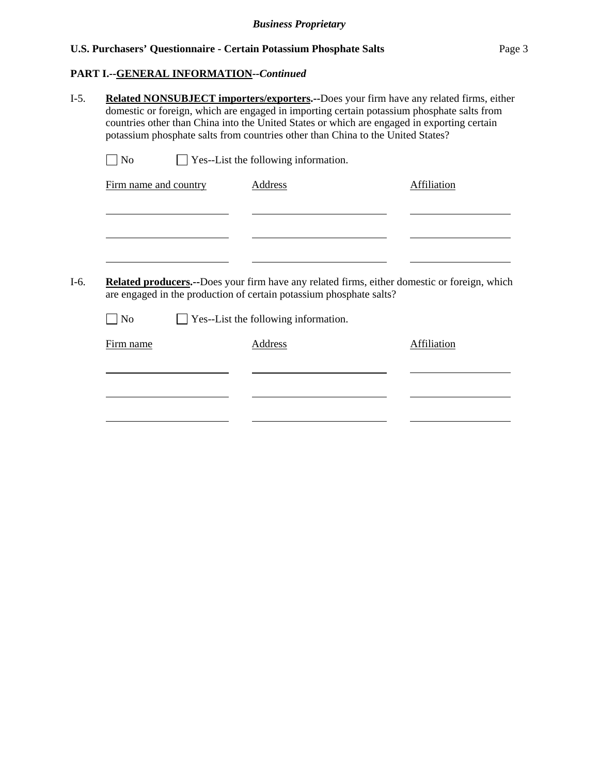## **PART I.--GENERAL INFORMATION***--Continued*

|                             |                       | potassium phosphate salts from countries other than China to the United States? | <b>Related NONSUBJECT importers/exporters.--Does your firm have any related firms, either</b><br>domestic or foreign, which are engaged in importing certain potassium phosphate salts from<br>countries other than China into the United States or which are engaged in exporting certain |
|-----------------------------|-----------------------|---------------------------------------------------------------------------------|--------------------------------------------------------------------------------------------------------------------------------------------------------------------------------------------------------------------------------------------------------------------------------------------|
| $\exists$ No                |                       | Yes--List the following information.                                            |                                                                                                                                                                                                                                                                                            |
|                             | Firm name and country | <b>Address</b>                                                                  | <b>Affiliation</b>                                                                                                                                                                                                                                                                         |
|                             |                       |                                                                                 |                                                                                                                                                                                                                                                                                            |
|                             |                       |                                                                                 |                                                                                                                                                                                                                                                                                            |
|                             |                       | are engaged in the production of certain potassium phosphate salts?             | <b>Related producers.</b> --Does your firm have any related firms, either domestic or foreign, which                                                                                                                                                                                       |
| $\overline{\phantom{a}}$ No |                       | Yes--List the following information.                                            |                                                                                                                                                                                                                                                                                            |
| Firm name                   |                       | <b>Address</b>                                                                  | Affiliation                                                                                                                                                                                                                                                                                |
|                             |                       |                                                                                 |                                                                                                                                                                                                                                                                                            |
|                             |                       |                                                                                 |                                                                                                                                                                                                                                                                                            |
|                             |                       |                                                                                 |                                                                                                                                                                                                                                                                                            |
|                             |                       |                                                                                 |                                                                                                                                                                                                                                                                                            |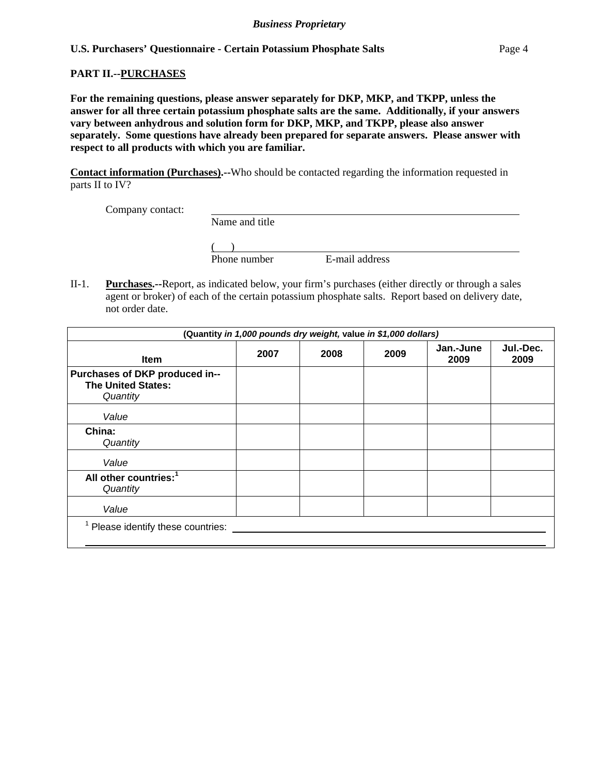#### **PART II.--PURCHASES**

**For the remaining questions, please answer separately for DKP, MKP, and TKPP, unless the answer for all three certain potassium phosphate salts are the same. Additionally, if your answers vary between anhydrous and solution form for DKP, MKP, and TKPP, please also answer separately. Some questions have already been prepared for separate answers. Please answer with respect to all products with which you are familiar.** 

**Contact information (Purchases).--**Who should be contacted regarding the information requested in parts II to IV?

Company contact:

| Company comact. |                |                |  |
|-----------------|----------------|----------------|--|
|                 | Name and title |                |  |
|                 |                |                |  |
|                 | Phone number   | E-mail address |  |

II-1. **Purchases.--**Report, as indicated below, your firm's purchases (either directly or through a sales agent or broker) of each of the certain potassium phosphate salts. Report based on delivery date, not order date.

| (Quantity in 1,000 pounds dry weight, value in \$1,000 dollars)         |      |      |      |                   |                   |
|-------------------------------------------------------------------------|------|------|------|-------------------|-------------------|
| <b>Item</b>                                                             | 2007 | 2008 | 2009 | Jan.-June<br>2009 | Jul.-Dec.<br>2009 |
| Purchases of DKP produced in--<br><b>The United States:</b><br>Quantity |      |      |      |                   |                   |
| Value                                                                   |      |      |      |                   |                   |
| China:<br>Quantity                                                      |      |      |      |                   |                   |
| Value                                                                   |      |      |      |                   |                   |
| All other countries: <sup>1</sup><br>Quantity                           |      |      |      |                   |                   |
| Value                                                                   |      |      |      |                   |                   |
| Please identify these countries:                                        |      |      |      |                   |                   |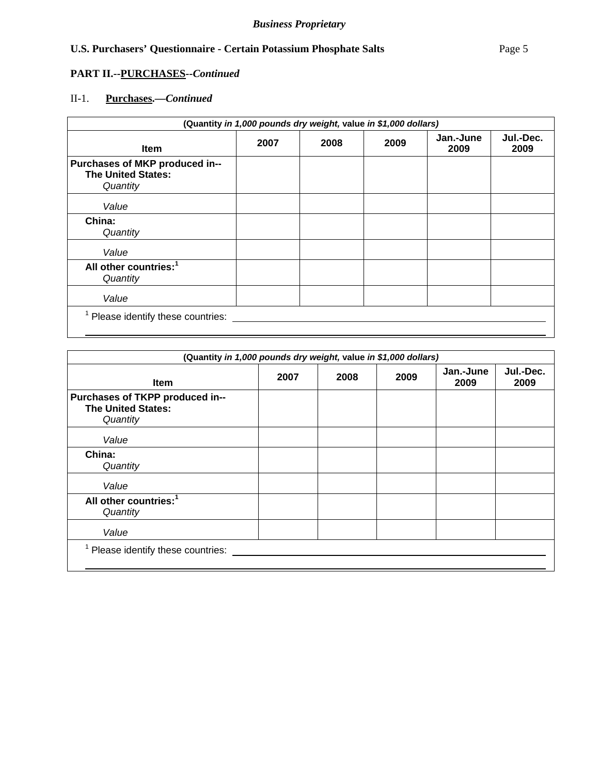## **PART II.--PURCHASES***--Continued*

## II-1. **Purchases.—***Continued*

| (Quantity in 1,000 pounds dry weight, value in \$1,000 dollars)         |      |      |      |                   |                   |
|-------------------------------------------------------------------------|------|------|------|-------------------|-------------------|
| <b>Item</b>                                                             | 2007 | 2008 | 2009 | Jan.-June<br>2009 | Jul.-Dec.<br>2009 |
| Purchases of MKP produced in--<br><b>The United States:</b><br>Quantity |      |      |      |                   |                   |
| Value                                                                   |      |      |      |                   |                   |
| China:<br>Quantity                                                      |      |      |      |                   |                   |
| Value                                                                   |      |      |      |                   |                   |
| All other countries: <sup>1</sup><br>Quantity                           |      |      |      |                   |                   |
| Value                                                                   |      |      |      |                   |                   |
| <sup>1</sup> Please identify these countries:                           |      |      |      |                   |                   |

| (Quantity in 1,000 pounds dry weight, value in \$1,000 dollars)          |      |      |      |                   |                   |
|--------------------------------------------------------------------------|------|------|------|-------------------|-------------------|
| <b>Item</b>                                                              | 2007 | 2008 | 2009 | Jan.-June<br>2009 | Jul.-Dec.<br>2009 |
| Purchases of TKPP produced in--<br><b>The United States:</b><br>Quantity |      |      |      |                   |                   |
| Value                                                                    |      |      |      |                   |                   |
| China:<br>Quantity                                                       |      |      |      |                   |                   |
| Value                                                                    |      |      |      |                   |                   |
| All other countries: <sup>1</sup><br>Quantity                            |      |      |      |                   |                   |
| Value                                                                    |      |      |      |                   |                   |
| Please identify these countries:                                         |      |      |      |                   |                   |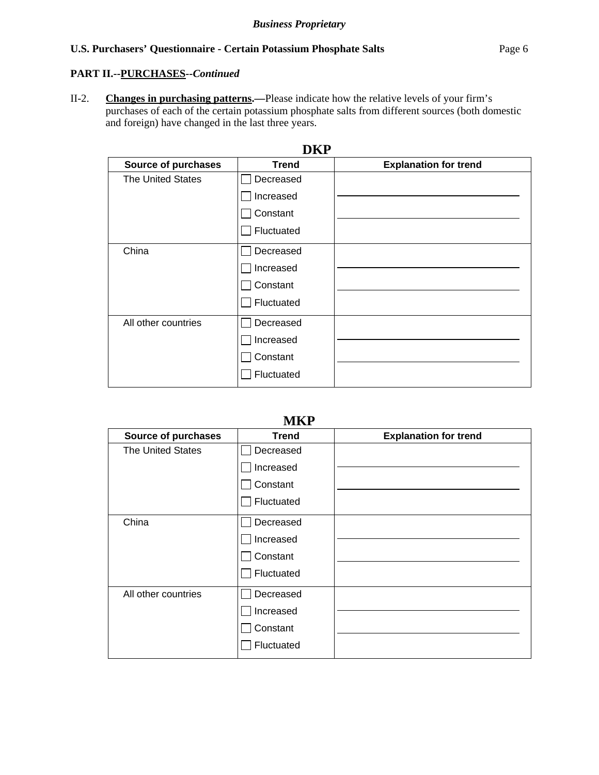## **PART II.--PURCHASES***--Continued*

II-2. **Changes in purchasing patterns.—**Please indicate how the relative levels of your firm's purchases of each of the certain potassium phosphate salts from different sources (both domestic and foreign) have changed in the last three years.

| VNF                        |              |                              |  |  |
|----------------------------|--------------|------------------------------|--|--|
| <b>Source of purchases</b> | <b>Trend</b> | <b>Explanation for trend</b> |  |  |
| <b>The United States</b>   | Decreased    |                              |  |  |
|                            | Increased    |                              |  |  |
|                            | Constant     |                              |  |  |
|                            | Fluctuated   |                              |  |  |
| China                      | Decreased    |                              |  |  |
|                            | Increased    |                              |  |  |
|                            | Constant     |                              |  |  |
|                            | Fluctuated   |                              |  |  |
| All other countries        | Decreased    |                              |  |  |
|                            | Increased    |                              |  |  |
|                            | Constant     |                              |  |  |
|                            | Fluctuated   |                              |  |  |

# **DKP**

## **MKP**

| <b>Source of purchases</b> | <b>Trend</b> | <b>Explanation for trend</b> |
|----------------------------|--------------|------------------------------|
| <b>The United States</b>   | Decreased    |                              |
|                            | Increased    |                              |
|                            | Constant     |                              |
|                            | Fluctuated   |                              |
| China                      | Decreased    |                              |
|                            | Increased    |                              |
|                            | Constant     |                              |
|                            | Fluctuated   |                              |
| All other countries        | Decreased    |                              |
|                            | Increased    |                              |
|                            | Constant     |                              |
|                            | Fluctuated   |                              |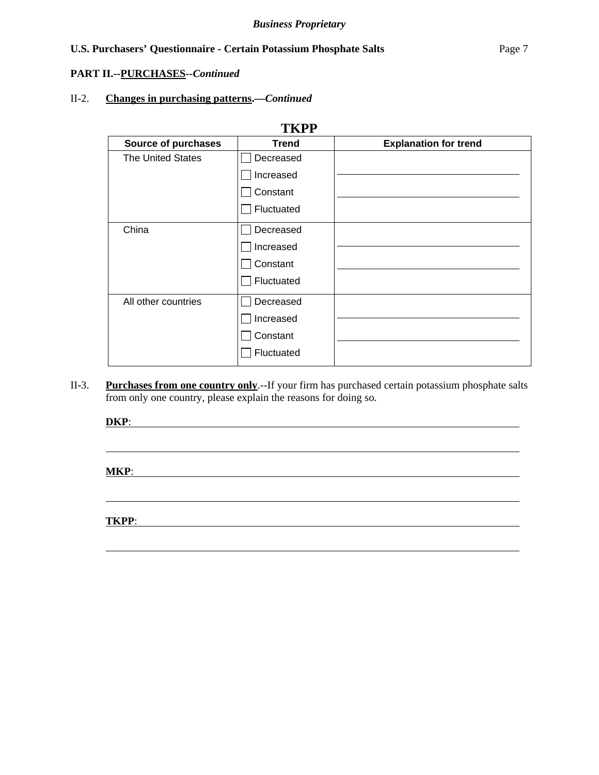#### **PART II.--PURCHASES***--Continued*

## II-2. **Changes in purchasing patterns.—***Continued*

| <b>TKPP</b>              |                 |                              |  |  |
|--------------------------|-----------------|------------------------------|--|--|
| Source of purchases      | <b>Trend</b>    | <b>Explanation for trend</b> |  |  |
| <b>The United States</b> | Decreased       |                              |  |  |
|                          | Increased       |                              |  |  |
|                          | $\Box$ Constant |                              |  |  |
|                          | Fluctuated      |                              |  |  |
| China                    | Decreased       |                              |  |  |
|                          | Increased       |                              |  |  |
|                          | Constant        |                              |  |  |
|                          | Fluctuated      |                              |  |  |
| All other countries      | Decreased       |                              |  |  |
|                          | Increased       |                              |  |  |
|                          | Constant        |                              |  |  |
|                          | Fluctuated      |                              |  |  |

II-3. **Purchases from one country only**.--If your firm has purchased certain potassium phosphate salts from only one country, please explain the reasons for doing so.

**DKP**:

**MKP**:

 $\overline{a}$ 

 $\overline{a}$ 

 $\overline{a}$ 

**TKPP**: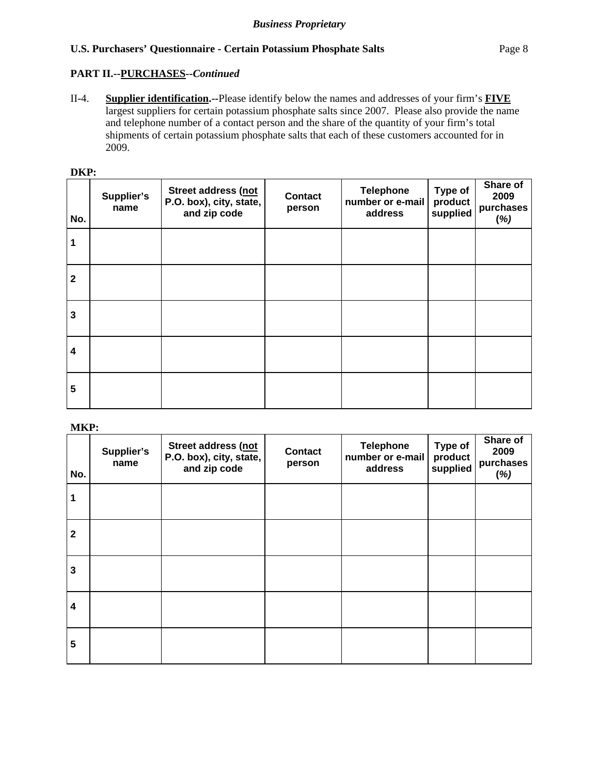## **PART II.--PURCHASES***--Continued*

II-4. **Supplier identification.--**Please identify below the names and addresses of your firm's **FIVE** largest suppliers for certain potassium phosphate salts since 2007. Please also provide the name and telephone number of a contact person and the share of the quantity of your firm's total shipments of certain potassium phosphate salts that each of these customers accounted for in 2009.

| No.                     | Supplier's<br>name | Street address (not<br>P.O. box), city, state,<br>and zip code | <b>Contact</b><br>person | <b>Telephone</b><br>number or e-mail<br>address | Type of<br>product<br>supplied | Share of<br>2009<br>purchases<br>(%) |
|-------------------------|--------------------|----------------------------------------------------------------|--------------------------|-------------------------------------------------|--------------------------------|--------------------------------------|
| 1                       |                    |                                                                |                          |                                                 |                                |                                      |
| $\overline{\mathbf{2}}$ |                    |                                                                |                          |                                                 |                                |                                      |
| $\overline{\mathbf{3}}$ |                    |                                                                |                          |                                                 |                                |                                      |
| $\overline{\mathbf{4}}$ |                    |                                                                |                          |                                                 |                                |                                      |
| 5                       |                    |                                                                |                          |                                                 |                                |                                      |

**MKP:** 

| No.                     | Supplier's<br>name | Street address (not<br>P.O. box), city, state,<br>and zip code | <b>Contact</b><br>person | <b>Telephone</b><br>number or e-mail<br>address | Type of<br>product<br>supplied | Share of<br>2009<br>purchases<br>(%) |
|-------------------------|--------------------|----------------------------------------------------------------|--------------------------|-------------------------------------------------|--------------------------------|--------------------------------------|
| 1                       |                    |                                                                |                          |                                                 |                                |                                      |
| $\overline{\mathbf{2}}$ |                    |                                                                |                          |                                                 |                                |                                      |
| $\mathbf{3}$            |                    |                                                                |                          |                                                 |                                |                                      |
| $\overline{\mathbf{4}}$ |                    |                                                                |                          |                                                 |                                |                                      |
| 5                       |                    |                                                                |                          |                                                 |                                |                                      |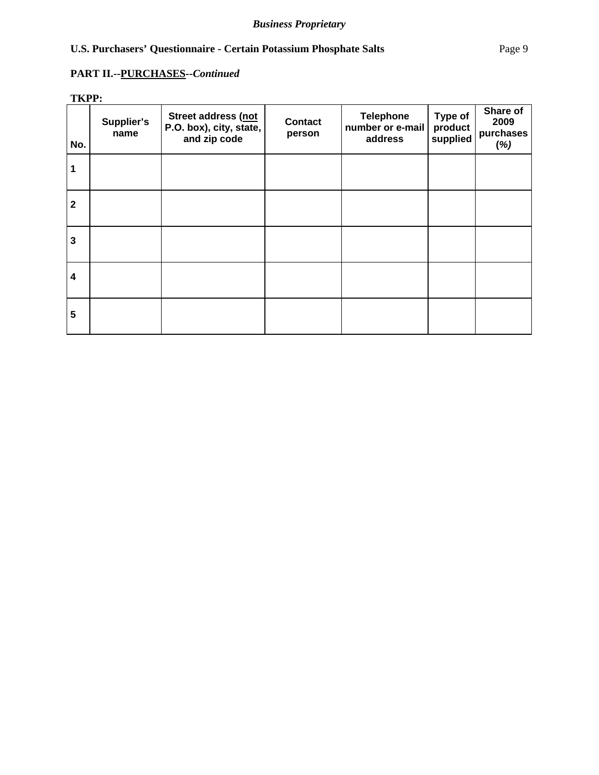## **PART II.--PURCHASES***--Continued*

**TKPP:** 

| No.                     | Supplier's<br>name | Street address (not<br>P.O. box), city, state,<br>and zip code | <b>Contact</b><br>person | <b>Telephone</b><br>number or e-mail<br>address | Type of<br>product<br>supplied | Share of<br>2009<br>purchases<br>(%) |
|-------------------------|--------------------|----------------------------------------------------------------|--------------------------|-------------------------------------------------|--------------------------------|--------------------------------------|
| 1                       |                    |                                                                |                          |                                                 |                                |                                      |
| $\overline{2}$          |                    |                                                                |                          |                                                 |                                |                                      |
| $\overline{\mathbf{3}}$ |                    |                                                                |                          |                                                 |                                |                                      |
| $\overline{\mathbf{4}}$ |                    |                                                                |                          |                                                 |                                |                                      |
| 5                       |                    |                                                                |                          |                                                 |                                |                                      |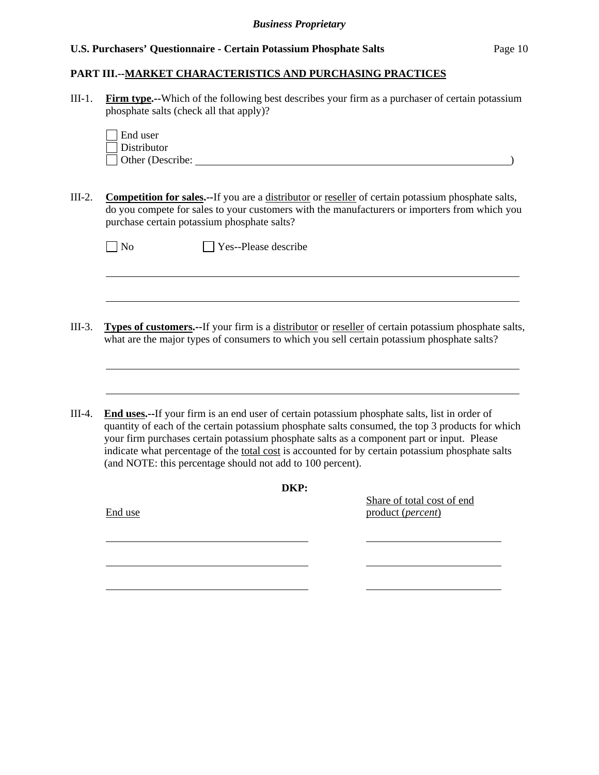l

### **PART III.--MARKET CHARACTERISTICS AND PURCHASING PRACTICES**

III-1. **Firm type.--**Which of the following best describes your firm as a purchaser of certain potassium phosphate salts (check all that apply)?

| End user         |  |
|------------------|--|
| Distributor      |  |
| Other (Describe: |  |

III-2. **Competition for sales.--**If you are a distributor or reseller of certain potassium phosphate salts, do you compete for sales to your customers with the manufacturers or importers from which you purchase certain potassium phosphate salts?

| $\Box$ No | $\Box$ Yes--Please describe |
|-----------|-----------------------------|
|           |                             |

- III-3. **Types of customers.--**If your firm is a distributor or reseller of certain potassium phosphate salts, what are the major types of consumers to which you sell certain potassium phosphate salts?
- III-4. **End uses.--**If your firm is an end user of certain potassium phosphate salts, list in order of quantity of each of the certain potassium phosphate salts consumed, the top 3 products for which your firm purchases certain potassium phosphate salts as a component part or input. Please indicate what percentage of the total cost is accounted for by certain potassium phosphate salts (and NOTE: this percentage should not add to 100 percent).

| DKP:    | Share of total cost of end |
|---------|----------------------------|
| End use | product (percent)          |
|         |                            |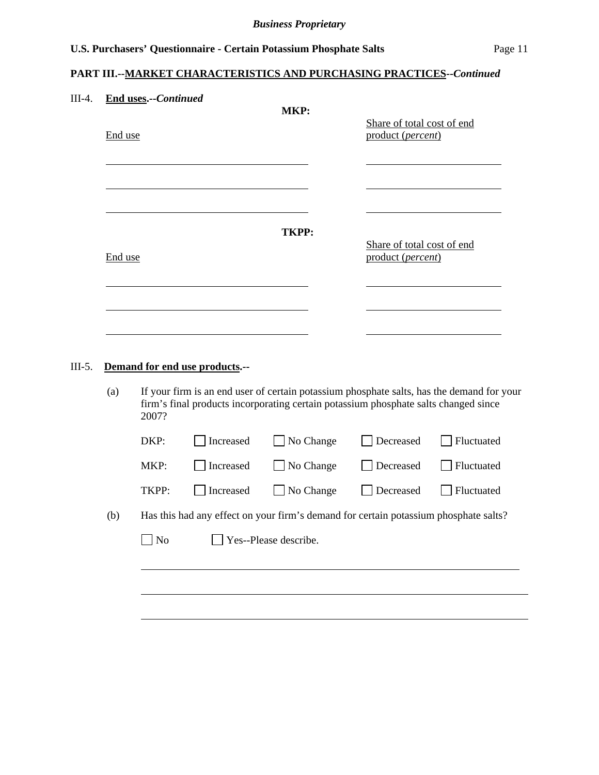## **PART III.--MARKET CHARACTERISTICS AND PURCHASING PRACTICES***--Continued*

| $III-4.$ | <b>End uses.--Continued</b><br>End use | MKP:         | Share of total cost of end<br>product (percent) |
|----------|----------------------------------------|--------------|-------------------------------------------------|
|          |                                        |              |                                                 |
|          | End use                                | <b>TKPP:</b> | Share of total cost of end<br>product (percent) |
|          |                                        |              |                                                 |

## III-5. **Demand for end use products.--**

(a) If your firm is an end user of certain potassium phosphate salts, has the demand for your firm's final products incorporating certain potassium phosphate salts changed since 2007?

|     | DKP:  | Increased | No Change                                                                            | Decreased | Fluctuated |
|-----|-------|-----------|--------------------------------------------------------------------------------------|-----------|------------|
|     | MKP:  | Increased | $\Box$ No Change                                                                     | Decreased | Fluctuated |
|     | TKPP: | Increased | $\vert$ No Change                                                                    | Decreased | Fluctuated |
| (b) |       |           | Has this had any effect on your firm's demand for certain potassium phosphate salts? |           |            |
|     | No    |           | Yes--Please describe.                                                                |           |            |
|     |       |           |                                                                                      |           |            |
|     |       |           |                                                                                      |           |            |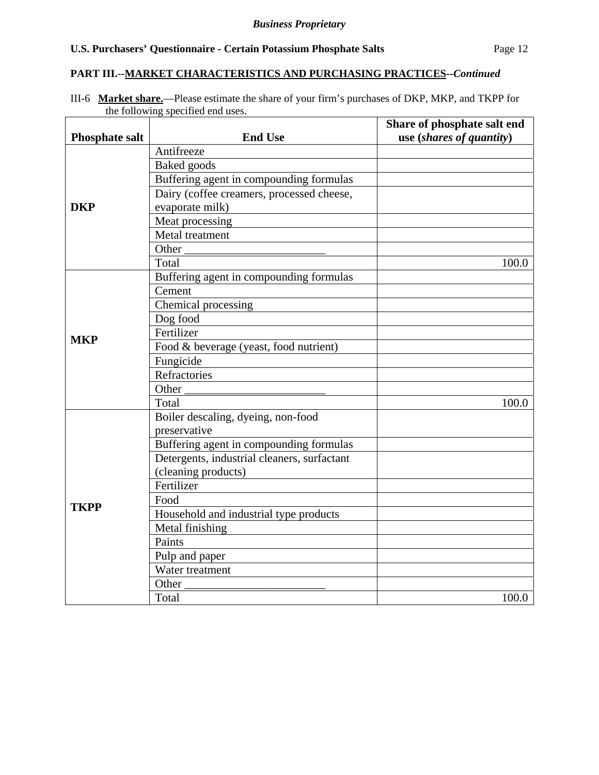#### **PART III.--MARKET CHARACTERISTICS AND PURCHASING PRACTICES***--Continued*

III-6 **Market share.**—Please estimate the share of your firm's purchases of DKP, MKP, and TKPP for the following specified end uses.

| <b>Phosphate salt</b> | <b>End Use</b>                              | Share of phosphate salt end<br>use (shares of quantity) |
|-----------------------|---------------------------------------------|---------------------------------------------------------|
|                       | Antifreeze                                  |                                                         |
|                       | Baked goods                                 |                                                         |
|                       | Buffering agent in compounding formulas     |                                                         |
|                       | Dairy (coffee creamers, processed cheese,   |                                                         |
| <b>DKP</b>            | evaporate milk)                             |                                                         |
|                       | Meat processing                             |                                                         |
|                       | Metal treatment                             |                                                         |
|                       | Other                                       |                                                         |
|                       | Total                                       | 100.0                                                   |
|                       | Buffering agent in compounding formulas     |                                                         |
|                       | Cement                                      |                                                         |
|                       | Chemical processing                         |                                                         |
|                       | Dog food                                    |                                                         |
| <b>MKP</b>            | Fertilizer                                  |                                                         |
|                       | Food & beverage (yeast, food nutrient)      |                                                         |
|                       | Fungicide                                   |                                                         |
|                       | Refractories                                |                                                         |
|                       | Other                                       |                                                         |
|                       | Total                                       | 100.0                                                   |
|                       | Boiler descaling, dyeing, non-food          |                                                         |
|                       | preservative                                |                                                         |
|                       | Buffering agent in compounding formulas     |                                                         |
|                       | Detergents, industrial cleaners, surfactant |                                                         |
|                       | (cleaning products)                         |                                                         |
|                       | Fertilizer                                  |                                                         |
| <b>TKPP</b>           | Food                                        |                                                         |
|                       | Household and industrial type products      |                                                         |
|                       | Metal finishing                             |                                                         |
|                       | Paints                                      |                                                         |
|                       | Pulp and paper                              |                                                         |
|                       | Water treatment                             |                                                         |
|                       | Other                                       |                                                         |
|                       | Total                                       | 100.0                                                   |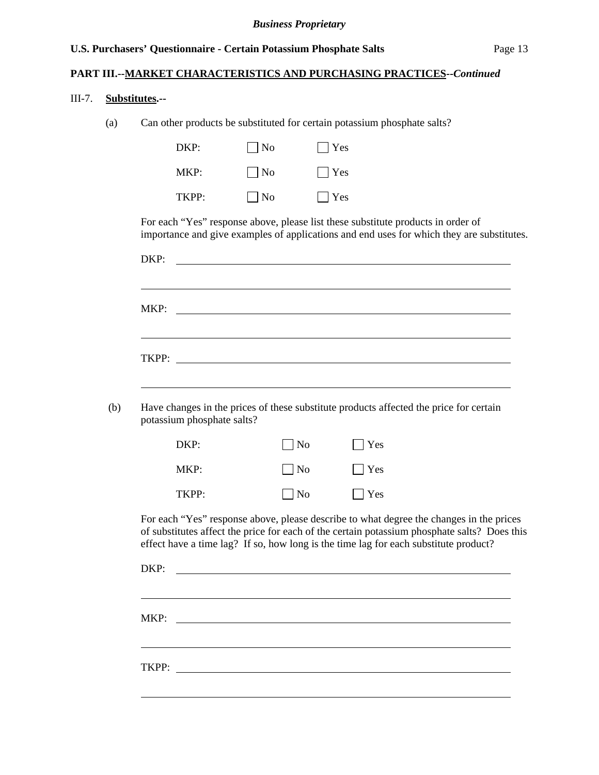## **PART III.--MARKET CHARACTERISTICS AND PURCHASING PRACTICES***--Continued*

#### III-7. **Substitutes.--**

l

(a) Can other products be substituted for certain potassium phosphate salts?

| DKP:  | $\vert$   No | $\lceil \ \vert$ Yes |
|-------|--------------|----------------------|
| MKP:  | $\vert$   No | $ $ $ $ Yes          |
| TKPP: | $\vert$   No | $\Gamma$   Yes       |

For each "Yes" response above, please list these substitute products in order of importance and give examples of applications and end uses for which they are substitutes.

| MKP:                       | <u> 1989 - Johann Barbara, martin amerikan basar dan basal dan basar dalam basal dan basal dan basal dan basal da</u>                                                                                                                                                           |               |  |
|----------------------------|---------------------------------------------------------------------------------------------------------------------------------------------------------------------------------------------------------------------------------------------------------------------------------|---------------|--|
|                            |                                                                                                                                                                                                                                                                                 |               |  |
|                            |                                                                                                                                                                                                                                                                                 |               |  |
|                            |                                                                                                                                                                                                                                                                                 |               |  |
| potassium phosphate salts? | Have changes in the prices of these substitute products affected the price for certain                                                                                                                                                                                          |               |  |
| DKP:                       | $\log$                                                                                                                                                                                                                                                                          | $\exists$ Yes |  |
| MKP:                       | N <sub>o</sub>                                                                                                                                                                                                                                                                  | $\exists$ Yes |  |
| TKPP:                      | $\overline{\rm N}$                                                                                                                                                                                                                                                              | $\bigcap$ Yes |  |
|                            | For each "Yes" response above, please describe to what degree the changes in the prices<br>of substitutes affect the price for each of the certain potassium phosphate salts? Does this<br>effect have a time lag? If so, how long is the time lag for each substitute product? |               |  |
| DKP:                       | <u> 1989 - Johann John Stein, marwolaeth a bhann an t-Amhainn an t-Amhainn an t-Amhainn an t-Amhainn an t-Amhain</u>                                                                                                                                                            |               |  |
|                            |                                                                                                                                                                                                                                                                                 |               |  |
|                            |                                                                                                                                                                                                                                                                                 |               |  |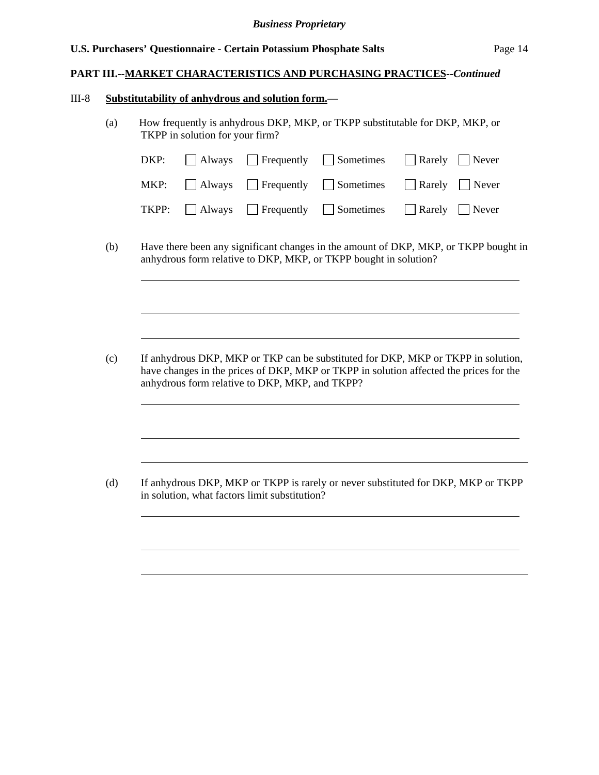#### **PART III.--MARKET CHARACTERISTICS AND PURCHASING PRACTICES***--Continued*

#### III-8 **Substitutability of anhydrous and solution form.**—

 $\overline{a}$ 

 $\overline{a}$ 

 $\overline{a}$ 

(a) How frequently is anhydrous DKP, MKP, or TKPP substitutable for DKP, MKP, or TKPP in solution for your firm?

|  |  | $DKP:$ Always Frequently Sometimes Rarely Never                                          |
|--|--|------------------------------------------------------------------------------------------|
|  |  | MKP: $\Box$ Always $\Box$ Frequently $\Box$ Sometimes $\Box$ Rarely $\Box$ Never         |
|  |  | <b>TKPP:</b> $\Box$ Always $\Box$ Frequently $\Box$ Sometimes $\Box$ Rarely $\Box$ Never |

(b) Have there been any significant changes in the amount of DKP, MKP, or TKPP bought in anhydrous form relative to DKP, MKP, or TKPP bought in solution?

(c) If anhydrous DKP, MKP or TKP can be substituted for DKP, MKP or TKPP in solution, have changes in the prices of DKP, MKP or TKPP in solution affected the prices for the anhydrous form relative to DKP, MKP, and TKPP?

(d) If anhydrous DKP, MKP or TKPP is rarely or never substituted for DKP, MKP or TKPP in solution, what factors limit substitution?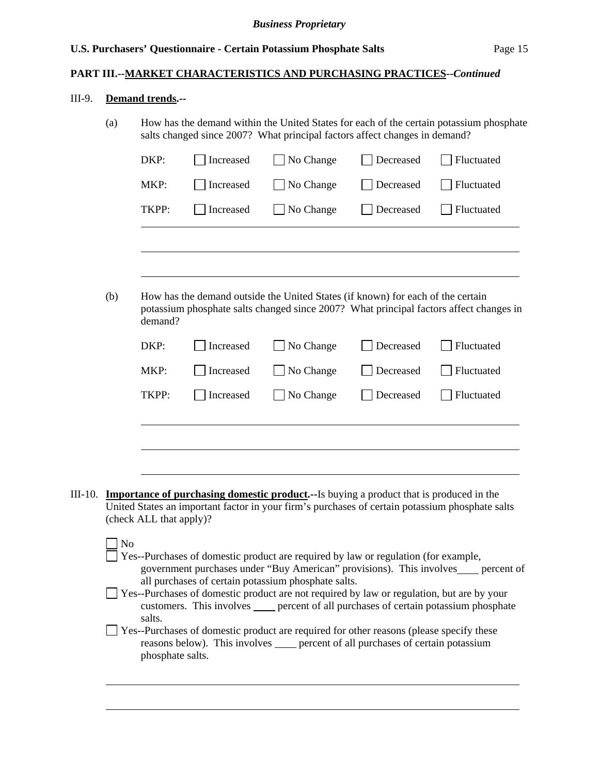## **PART III.--MARKET CHARACTERISTICS AND PURCHASING PRACTICES***--Continued*

## III-9. **Demand trends.--**

|         | (a)                                                                                                                                                                                                                                        | How has the demand within the United States for each of the certain potassium phosphate<br>salts changed since 2007? What principal factors affect changes in demand? |           |                                                                                                                                                                                                    |           |                                                                                        |  |
|---------|--------------------------------------------------------------------------------------------------------------------------------------------------------------------------------------------------------------------------------------------|-----------------------------------------------------------------------------------------------------------------------------------------------------------------------|-----------|----------------------------------------------------------------------------------------------------------------------------------------------------------------------------------------------------|-----------|----------------------------------------------------------------------------------------|--|
|         |                                                                                                                                                                                                                                            | DKP:                                                                                                                                                                  | Increased | No Change                                                                                                                                                                                          | Decreased | Fluctuated                                                                             |  |
|         |                                                                                                                                                                                                                                            | MKP:                                                                                                                                                                  | Increased | No Change                                                                                                                                                                                          | Decreased | Fluctuated                                                                             |  |
|         |                                                                                                                                                                                                                                            | TKPP:                                                                                                                                                                 | Increased | No Change                                                                                                                                                                                          | Decreased | Fluctuated                                                                             |  |
|         |                                                                                                                                                                                                                                            |                                                                                                                                                                       |           |                                                                                                                                                                                                    |           |                                                                                        |  |
|         | (b)                                                                                                                                                                                                                                        | demand?                                                                                                                                                               |           | How has the demand outside the United States (if known) for each of the certain                                                                                                                    |           | potassium phosphate salts changed since 2007? What principal factors affect changes in |  |
|         |                                                                                                                                                                                                                                            | DKP:                                                                                                                                                                  | Increased | No Change                                                                                                                                                                                          | Decreased | Fluctuated                                                                             |  |
|         |                                                                                                                                                                                                                                            | MKP:                                                                                                                                                                  | Increased | No Change                                                                                                                                                                                          | Decreased | Fluctuated                                                                             |  |
|         |                                                                                                                                                                                                                                            | TKPP:                                                                                                                                                                 | Increased | No Change                                                                                                                                                                                          | Decreased | Fluctuated                                                                             |  |
|         |                                                                                                                                                                                                                                            |                                                                                                                                                                       |           |                                                                                                                                                                                                    |           |                                                                                        |  |
|         |                                                                                                                                                                                                                                            |                                                                                                                                                                       |           |                                                                                                                                                                                                    |           |                                                                                        |  |
|         |                                                                                                                                                                                                                                            |                                                                                                                                                                       |           |                                                                                                                                                                                                    |           |                                                                                        |  |
| III-10. |                                                                                                                                                                                                                                            | (check ALL that apply)?                                                                                                                                               |           | <b>Importance of purchasing domestic product.</b> --Is buying a product that is produced in the<br>United States an important factor in your firm's purchases of certain potassium phosphate salts |           |                                                                                        |  |
|         | No<br>Yes--Purchases of domestic product are required by law or regulation (for example,<br>government purchases under "Buy American" provisions). This involves____ percent of                                                            |                                                                                                                                                                       |           |                                                                                                                                                                                                    |           |                                                                                        |  |
|         | all purchases of certain potassium phosphate salts.<br>Yes--Purchases of domestic product are not required by law or regulation, but are by your<br>customers. This involves _____ percent of all purchases of certain potassium phosphate |                                                                                                                                                                       |           |                                                                                                                                                                                                    |           |                                                                                        |  |
|         | salts.<br>Yes--Purchases of domestic product are required for other reasons (please specify these<br>reasons below). This involves <u>equal percent</u> of all purchases of certain potassium<br>phosphate salts.                          |                                                                                                                                                                       |           |                                                                                                                                                                                                    |           |                                                                                        |  |
|         |                                                                                                                                                                                                                                            |                                                                                                                                                                       |           |                                                                                                                                                                                                    |           |                                                                                        |  |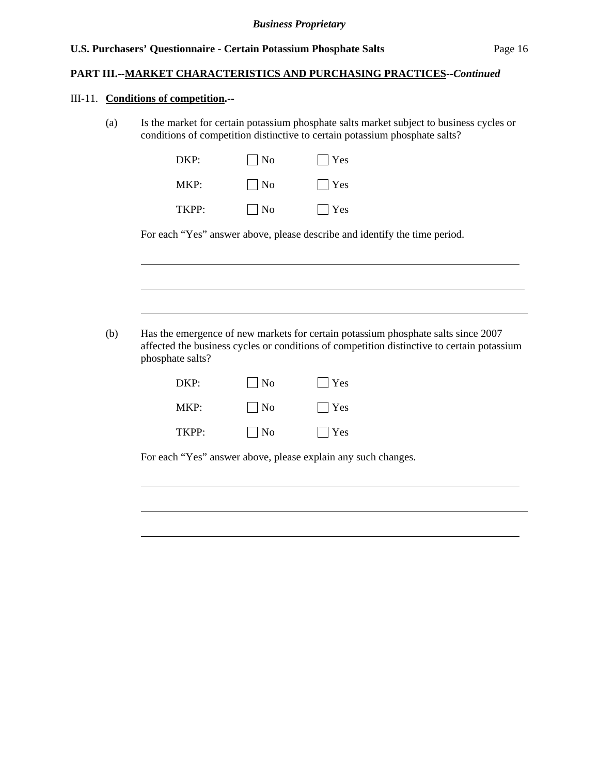#### **PART III.--MARKET CHARACTERISTICS AND PURCHASING PRACTICES***--Continued*

#### III-11. **Conditions of competition.--**

 $\overline{a}$ 

l

l

(a) Is the market for certain potassium phosphate salts market subject to business cycles or conditions of competition distinctive to certain potassium phosphate salts?

| DKP:  | $\vert$   No | $ $ Yes    |
|-------|--------------|------------|
| MKP:  | $\vert$   No | $\Box$ Yes |
| TKPP· | $\vert$   No | $ $ Yes    |

For each "Yes" answer above, please describe and identify the time period.

(b) Has the emergence of new markets for certain potassium phosphate salts since 2007 affected the business cycles or conditions of competition distinctive to certain potassium phosphate salts?

| DKP:  | $\vert$   No      | $ $ Yes |
|-------|-------------------|---------|
| MKP:  | $\blacksquare$ No | $ $ Yes |
| TKPP: | $\Box$ No         | $ $ Yes |

For each "Yes" answer above, please explain any such changes.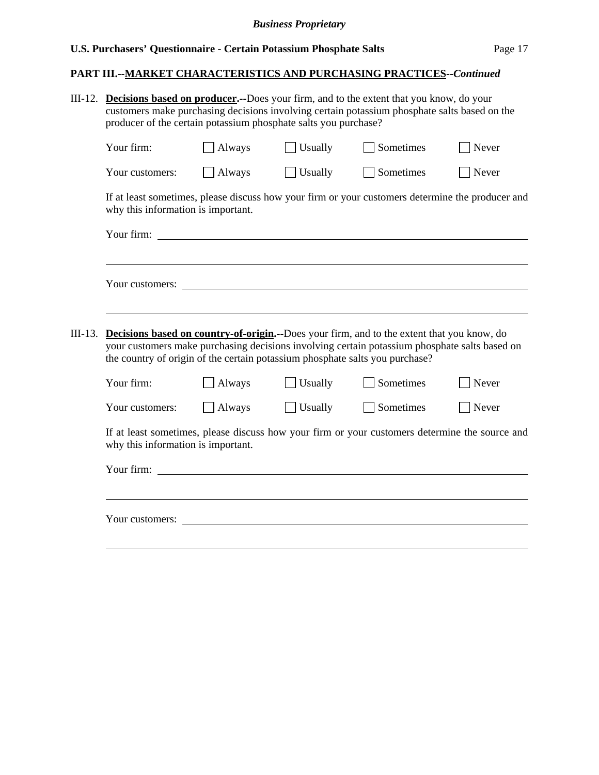## **PART III.--MARKET CHARACTERISTICS AND PURCHASING PRACTICES***--Continued*

| III-12.   | Decisions based on producer.--Does your firm, and to the extent that you know, do your<br>customers make purchasing decisions involving certain potassium phosphate salts based on the<br>producer of the certain potassium phosphate salts you purchase? |               |         |                                                                                                  |                   |  |  |
|-----------|-----------------------------------------------------------------------------------------------------------------------------------------------------------------------------------------------------------------------------------------------------------|---------------|---------|--------------------------------------------------------------------------------------------------|-------------------|--|--|
|           | Your firm:                                                                                                                                                                                                                                                | Always        | Usually | Sometimes                                                                                        | Never             |  |  |
|           | Your customers:                                                                                                                                                                                                                                           | $\Box$ Always | Usually | Sometimes                                                                                        | $\sqrt{\ }$ Never |  |  |
|           | why this information is important.                                                                                                                                                                                                                        |               |         | If at least sometimes, please discuss how your firm or your customers determine the producer and |                   |  |  |
|           |                                                                                                                                                                                                                                                           |               |         |                                                                                                  |                   |  |  |
| $III-13.$ | <b>Decisions based on country-of-origin.</b> --Does your firm, and to the extent that you know, do<br>your customers make purchasing decisions involving certain potassium phosphate salts based on                                                       |               |         |                                                                                                  |                   |  |  |
|           | the country of origin of the certain potassium phosphate salts you purchase?                                                                                                                                                                              |               |         |                                                                                                  |                   |  |  |
|           | Your firm:                                                                                                                                                                                                                                                | Always        | Usually | Sometimes                                                                                        | Never             |  |  |
|           | Your customers:                                                                                                                                                                                                                                           | $\Box$ Always | Usually | Sometimes                                                                                        | Never             |  |  |
|           | If at least sometimes, please discuss how your firm or your customers determine the source and<br>why this information is important.                                                                                                                      |               |         |                                                                                                  |                   |  |  |
|           |                                                                                                                                                                                                                                                           |               |         |                                                                                                  |                   |  |  |
|           |                                                                                                                                                                                                                                                           |               |         |                                                                                                  |                   |  |  |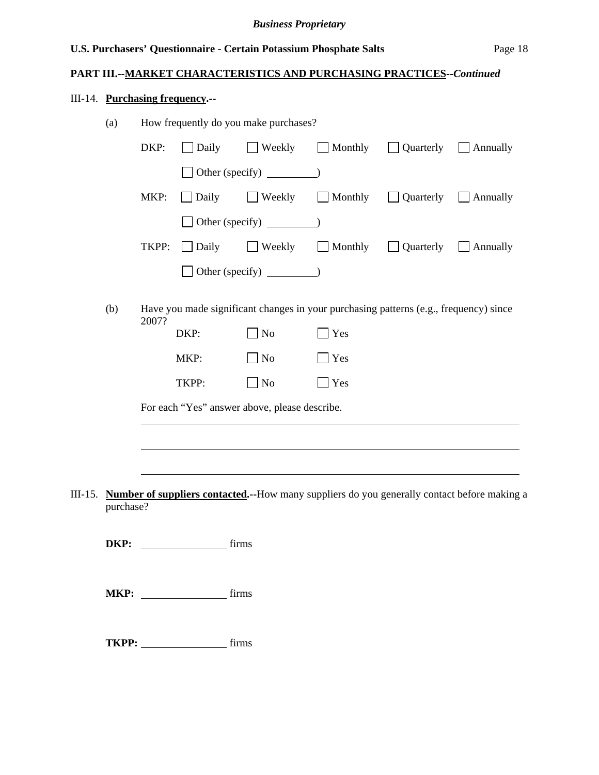## **PART III.--MARKET CHARACTERISTICS AND PURCHASING PRACTICES***--Continued*

## III-14. **Purchasing frequency.--**

|         | (a)<br>How frequently do you make purchases? |                                               |              |                |                                                                                       |                  |                                                                                             |  |  |
|---------|----------------------------------------------|-----------------------------------------------|--------------|----------------|---------------------------------------------------------------------------------------|------------------|---------------------------------------------------------------------------------------------|--|--|
|         |                                              | DKP:                                          | $\Box$ Daily | $\Box$ Weekly  | Monthly                                                                               | <b>Quarterly</b> | $\Box$ Annually                                                                             |  |  |
|         |                                              |                                               |              |                |                                                                                       |                  |                                                                                             |  |  |
|         |                                              | MKP:                                          | Daily        |                | $\Box$ Weekly $\Box$ Monthly $\Box$ Quarterly $\Box$ Annually                         |                  |                                                                                             |  |  |
|         |                                              |                                               |              |                |                                                                                       |                  |                                                                                             |  |  |
|         |                                              | TKPP:                                         | $\Box$ Daily |                | $\Box$ Weekly $\Box$ Monthly                                                          | Quarterly        | <b>Annually</b>                                                                             |  |  |
|         |                                              |                                               |              |                |                                                                                       |                  |                                                                                             |  |  |
|         | (b)                                          | 2007?                                         |              |                | Have you made significant changes in your purchasing patterns (e.g., frequency) since |                  |                                                                                             |  |  |
|         |                                              |                                               | DKP:         | N <sub>0</sub> | Yes                                                                                   |                  |                                                                                             |  |  |
|         |                                              |                                               | MKP:         | $\Box$ No      | $\Box$ Yes                                                                            |                  |                                                                                             |  |  |
|         |                                              |                                               | TKPP:        | $\Box$ No      | $\Box$ Yes                                                                            |                  |                                                                                             |  |  |
|         |                                              | For each "Yes" answer above, please describe. |              |                |                                                                                       |                  |                                                                                             |  |  |
|         |                                              |                                               |              |                |                                                                                       |                  |                                                                                             |  |  |
|         |                                              |                                               |              |                |                                                                                       |                  |                                                                                             |  |  |
| III-15. |                                              |                                               |              |                |                                                                                       |                  | Number of suppliers contacted.--How many suppliers do you generally contact before making a |  |  |
|         | purchase?                                    |                                               |              |                |                                                                                       |                  |                                                                                             |  |  |
|         | DKP:                                         |                                               |              | firms          |                                                                                       |                  |                                                                                             |  |  |
|         |                                              |                                               | MKP: firms   |                |                                                                                       |                  |                                                                                             |  |  |
|         |                                              |                                               | TKPP: firms  |                |                                                                                       |                  |                                                                                             |  |  |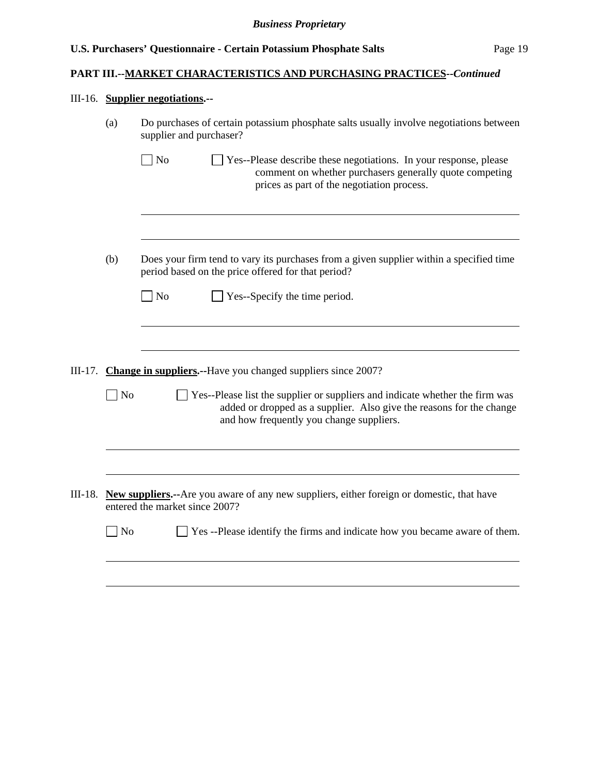## **PART III.--MARKET CHARACTERISTICS AND PURCHASING PRACTICES***--Continued*

## III-16. **Supplier negotiations.--**

|         | (a)            | Do purchases of certain potassium phosphate salts usually involve negotiations between<br>supplier and purchaser?                                                                                |  |  |  |  |
|---------|----------------|--------------------------------------------------------------------------------------------------------------------------------------------------------------------------------------------------|--|--|--|--|
|         |                | $\Box$ No<br>Yes--Please describe these negotiations. In your response, please<br>comment on whether purchasers generally quote competing<br>prices as part of the negotiation process.          |  |  |  |  |
|         |                |                                                                                                                                                                                                  |  |  |  |  |
|         | (b)            | Does your firm tend to vary its purchases from a given supplier within a specified time<br>period based on the price offered for that period?                                                    |  |  |  |  |
|         |                | $\Box$ No<br>Yes--Specify the time period.                                                                                                                                                       |  |  |  |  |
|         |                |                                                                                                                                                                                                  |  |  |  |  |
| III-17. |                | <b>Change in suppliers.</b> --Have you changed suppliers since 2007?                                                                                                                             |  |  |  |  |
|         | N <sub>o</sub> | Yes--Please list the supplier or suppliers and indicate whether the firm was<br>added or dropped as a supplier. Also give the reasons for the change<br>and how frequently you change suppliers. |  |  |  |  |
|         |                |                                                                                                                                                                                                  |  |  |  |  |
|         |                | III-18. New suppliers.--Are you aware of any new suppliers, either foreign or domestic, that have<br>entered the market since 2007?                                                              |  |  |  |  |
|         | N <sub>o</sub> | Yes --Please identify the firms and indicate how you became aware of them.                                                                                                                       |  |  |  |  |
|         |                |                                                                                                                                                                                                  |  |  |  |  |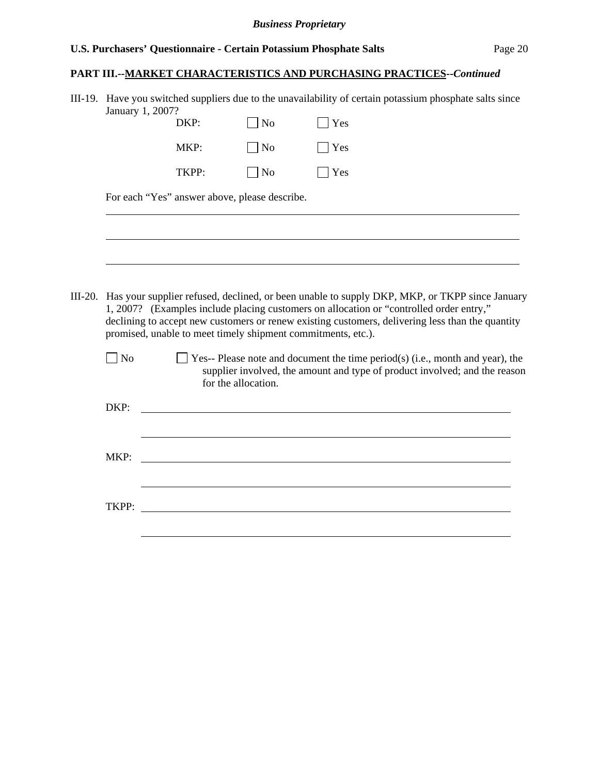#### *Business Proprietary*

## **U.S. Purchasers' Questionnaire - Certain Potassium Phosphate Salts** Page 20

## **PART III.--MARKET CHARACTERISTICS AND PURCHASING PRACTICES***--Continued*

| III-19. Have you switched suppliers due to the unavailability of certain potassium phosphate salts since |
|----------------------------------------------------------------------------------------------------------|
| January 1, 2007?                                                                                         |

|       | DKP:                                          | No        | Yes  |  |
|-------|-----------------------------------------------|-----------|------|--|
|       | MKP:                                          | $\Box$ No | Yes  |  |
|       | TKPP:                                         | $\Box$ No | Yes  |  |
|       | For each "Yes" answer above, please describe. |           |      |  |
|       |                                               |           |      |  |
|       |                                               |           |      |  |
|       |                                               |           |      |  |
| $- -$ | $\cdot$ $\cdot$                               |           | $-1$ |  |

III-20. Has your supplier refused, declined, or been unable to supply DKP, MKP, or TKPP since January 1, 2007? (Examples include placing customers on allocation or "controlled order entry," declining to accept new customers or renew existing customers, delivering less than the quantity promised, unable to meet timely shipment commitments, etc.).

| No | $\Box$ Yes-- Please note and document the time period(s) (i.e., month and year), the |
|----|--------------------------------------------------------------------------------------|
|    | supplier involved, the amount and type of product involved; and the reason           |
|    | for the allocation.                                                                  |

| DKP: | <u>and the state of the state of the state of the state of the state of the state of the state of the state of th</u> |
|------|-----------------------------------------------------------------------------------------------------------------------|
|      |                                                                                                                       |
|      |                                                                                                                       |
| MKP: |                                                                                                                       |
|      |                                                                                                                       |
|      |                                                                                                                       |
|      |                                                                                                                       |
|      |                                                                                                                       |
|      |                                                                                                                       |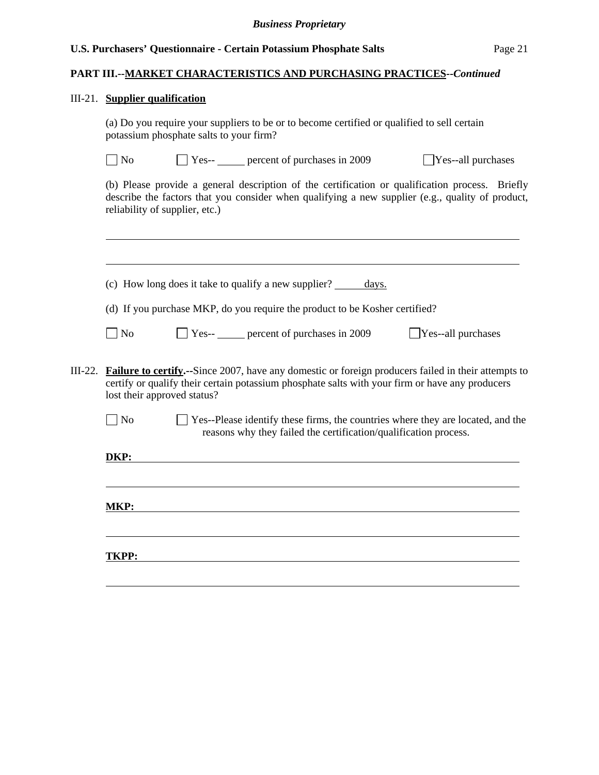# **PART III.--MARKET CHARACTERISTICS AND PURCHASING PRACTICES***--Continued*

## III-21. **Supplier qualification**

(a) Do you require your suppliers to be or to become certified or qualified to sell certain potassium phosphate salts to your firm?

|         | N <sub>o</sub>                 |                                                                                                                                                                                                                                               | $\Box$ Yes-- $\Box$ percent of purchases in 2009                                                                                                                                                    | $\Box$ Yes--all purchases |  |  |  |
|---------|--------------------------------|-----------------------------------------------------------------------------------------------------------------------------------------------------------------------------------------------------------------------------------------------|-----------------------------------------------------------------------------------------------------------------------------------------------------------------------------------------------------|---------------------------|--|--|--|
|         | reliability of supplier, etc.) |                                                                                                                                                                                                                                               | (b) Please provide a general description of the certification or qualification process. Briefly<br>describe the factors that you consider when qualifying a new supplier (e.g., quality of product, |                           |  |  |  |
|         |                                |                                                                                                                                                                                                                                               |                                                                                                                                                                                                     |                           |  |  |  |
|         |                                |                                                                                                                                                                                                                                               | (c) How long does it take to qualify a new supplier?<br>days.                                                                                                                                       |                           |  |  |  |
|         |                                |                                                                                                                                                                                                                                               | (d) If you purchase MKP, do you require the product to be Kosher certified?                                                                                                                         |                           |  |  |  |
|         | $ $ No                         |                                                                                                                                                                                                                                               | $\Box$ Yes-- $\Box$ percent of purchases in 2009                                                                                                                                                    | Yes--all purchases        |  |  |  |
| III-22. |                                | <b>Failure to certify.</b> --Since 2007, have any domestic or foreign producers failed in their attempts to<br>certify or qualify their certain potassium phosphate salts with your firm or have any producers<br>lost their approved status? |                                                                                                                                                                                                     |                           |  |  |  |
|         | $\log$                         |                                                                                                                                                                                                                                               | Yes--Please identify these firms, the countries where they are located, and the<br>reasons why they failed the certification/qualification process.                                                 |                           |  |  |  |
|         | DKP:                           |                                                                                                                                                                                                                                               |                                                                                                                                                                                                     |                           |  |  |  |
|         |                                |                                                                                                                                                                                                                                               |                                                                                                                                                                                                     |                           |  |  |  |
|         |                                |                                                                                                                                                                                                                                               |                                                                                                                                                                                                     |                           |  |  |  |
|         | MKP:                           |                                                                                                                                                                                                                                               |                                                                                                                                                                                                     |                           |  |  |  |
|         | <b>TKPP:</b>                   |                                                                                                                                                                                                                                               |                                                                                                                                                                                                     |                           |  |  |  |
|         |                                |                                                                                                                                                                                                                                               |                                                                                                                                                                                                     |                           |  |  |  |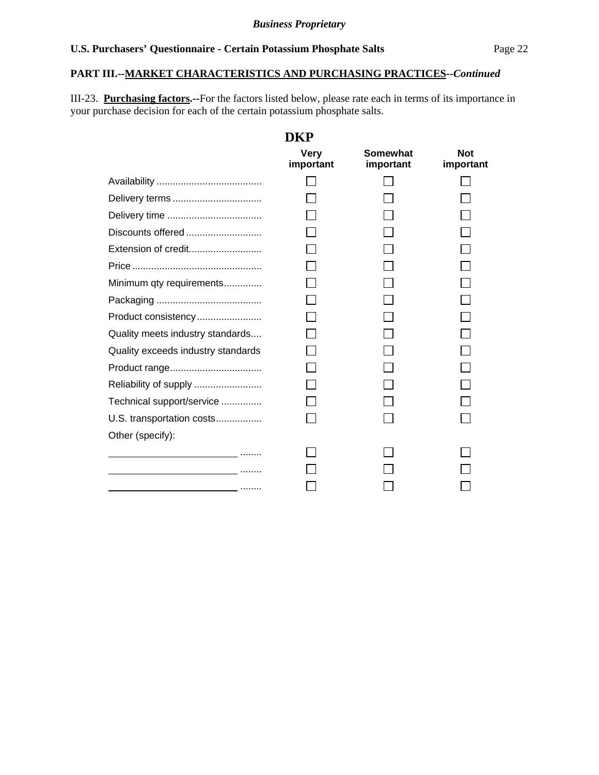## **PART III.--MARKET CHARACTERISTICS AND PURCHASING PRACTICES***--Continued*

III-23. **Purchasing factors.--**For the factors listed below, please rate each in terms of its importance in your purchase decision for each of the certain potassium phosphate salts.

|                                              | DKP                      |                              |                         |
|----------------------------------------------|--------------------------|------------------------------|-------------------------|
|                                              | <b>Very</b><br>important | <b>Somewhat</b><br>important | <b>Not</b><br>important |
|                                              |                          |                              |                         |
|                                              |                          |                              |                         |
|                                              |                          |                              |                         |
| Discounts offered                            |                          |                              |                         |
| Extension of credit                          |                          |                              |                         |
|                                              |                          |                              |                         |
| Minimum qty requirements                     |                          |                              |                         |
|                                              |                          |                              |                         |
| Product consistency                          |                          |                              |                         |
| Quality meets industry standards             |                          |                              |                         |
| Quality exceeds industry standards           |                          |                              |                         |
|                                              |                          |                              |                         |
|                                              |                          |                              |                         |
| Technical support/service                    |                          |                              |                         |
| U.S. transportation costs                    |                          |                              |                         |
| Other (specify):                             |                          |                              |                         |
| <u> 1990 - Johann Barbara, martin a</u> mann |                          |                              |                         |
|                                              |                          |                              |                         |
|                                              |                          |                              |                         |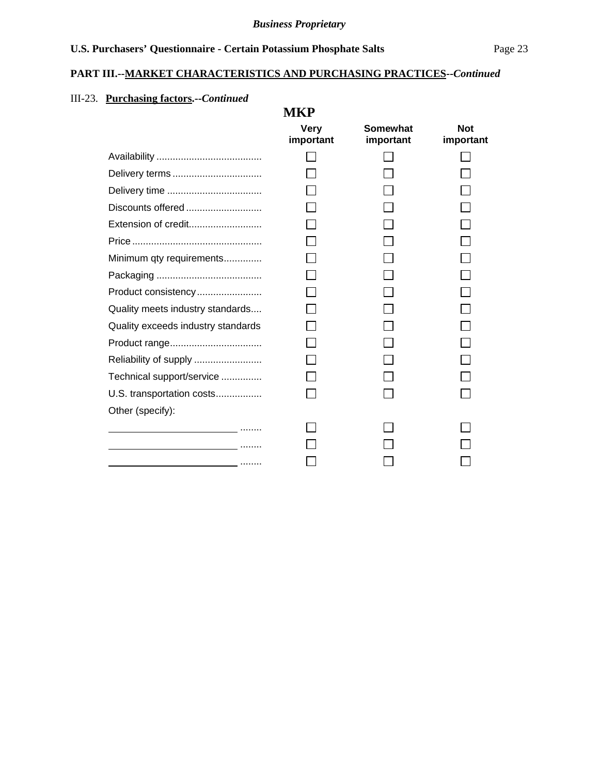## **PART III.--MARKET CHARACTERISTICS AND PURCHASING PRACTICES***--Continued*

## III-23. **Purchasing factors.--***Continued*

|                                                                                 | <b>MKP</b>               |                       |                         |
|---------------------------------------------------------------------------------|--------------------------|-----------------------|-------------------------|
|                                                                                 | <b>Very</b><br>important | Somewhat<br>important | <b>Not</b><br>important |
|                                                                                 |                          |                       |                         |
|                                                                                 |                          |                       |                         |
|                                                                                 |                          |                       |                         |
| Discounts offered                                                               |                          |                       |                         |
| Extension of credit                                                             |                          |                       |                         |
|                                                                                 |                          |                       |                         |
| Minimum qty requirements                                                        |                          |                       |                         |
|                                                                                 |                          |                       |                         |
| Product consistency                                                             |                          |                       |                         |
| Quality meets industry standards                                                |                          |                       |                         |
| Quality exceeds industry standards                                              |                          |                       |                         |
|                                                                                 |                          |                       |                         |
|                                                                                 |                          |                       |                         |
| Technical support/service                                                       |                          |                       |                         |
| U.S. transportation costs                                                       |                          |                       |                         |
| Other (specify):                                                                |                          |                       |                         |
|                                                                                 |                          |                       |                         |
|                                                                                 |                          |                       |                         |
| the contract of the contract of the contract of the contract of the contract of |                          |                       |                         |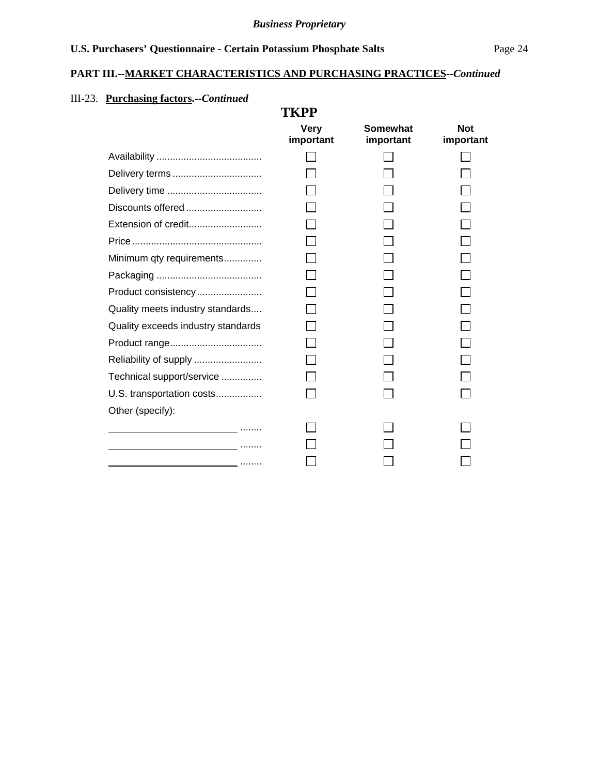## **PART III.--MARKET CHARACTERISTICS AND PURCHASING PRACTICES***--Continued*

## III-23. **Purchasing factors.--***Continued*

|                                                            | <b>TKPP</b>              |                       |                         |
|------------------------------------------------------------|--------------------------|-----------------------|-------------------------|
|                                                            | <b>Very</b><br>important | Somewhat<br>important | <b>Not</b><br>important |
|                                                            |                          |                       |                         |
|                                                            |                          |                       |                         |
|                                                            |                          |                       |                         |
|                                                            |                          |                       |                         |
|                                                            |                          |                       |                         |
|                                                            |                          |                       |                         |
| Minimum qty requirements                                   |                          |                       |                         |
|                                                            |                          |                       |                         |
| Product consistency                                        |                          |                       |                         |
| Quality meets industry standards                           |                          |                       |                         |
| Quality exceeds industry standards                         |                          |                       |                         |
|                                                            |                          |                       |                         |
|                                                            |                          |                       |                         |
| Technical support/service                                  |                          |                       |                         |
| U.S. transportation costs                                  |                          |                       |                         |
| Other (specify):                                           |                          |                       |                         |
|                                                            |                          |                       |                         |
|                                                            |                          |                       |                         |
| <u> 1989 - Johann Barn, amerikansk politiker (</u> † 1919) |                          |                       |                         |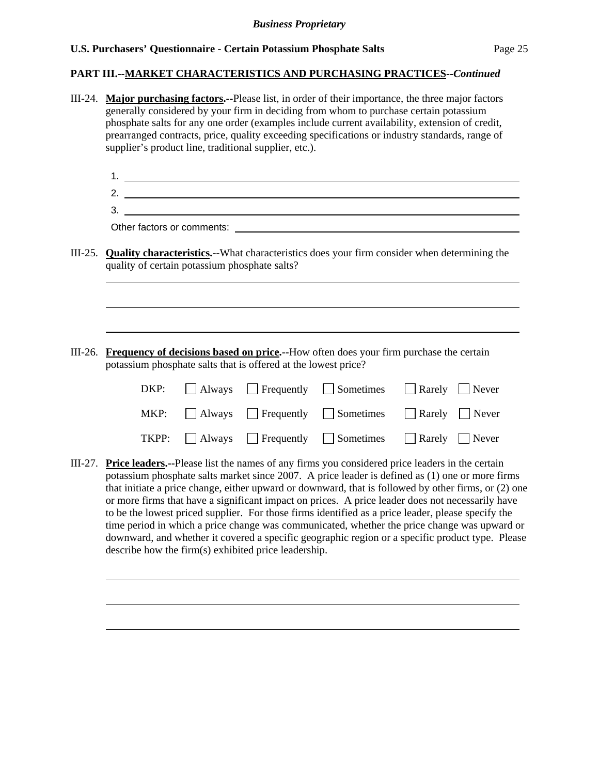#### **PART III.--MARKET CHARACTERISTICS AND PURCHASING PRACTICES***--Continued*

III-24. **Major purchasing factors.--**Please list, in order of their importance, the three major factors generally considered by your firm in deciding from whom to purchase certain potassium phosphate salts for any one order (examples include current availability, extension of credit, prearranged contracts, price, quality exceeding specifications or industry standards, range of supplier's product line, traditional supplier, etc.). 1. 2. 3. Other factors or comments: **example 2018** and 2018 and 2018 and 2018 and 2018 and 2018 and 2018 and 2018 and 2018 and 2018 and 2018 and 2018 and 2018 and 2018 and 2018 and 2018 and 2018 and 2018 and 2018 and 2018 and 2018 III-25. **Quality characteristics.--**What characteristics does your firm consider when determining the quality of certain potassium phosphate salts? l III-26. **Frequency of decisions based on price.--**How often does your firm purchase the certain potassium phosphate salts that is offered at the lowest price?  $DKP: \Box$  Always  $\Box$  Frequently  $\Box$  Sometimes  $\Box$  Rarely  $\Box$  Never MKP:  $\Box$  Always  $\Box$  Frequently  $\Box$  Sometimes  $\Box$  Rarely  $\Box$  Never TKPP:  $\Box$  Always  $\Box$  Frequently  $\Box$  Sometimes  $\Box$  Rarely  $\Box$  Never III-27. **Price leaders.--**Please list the names of any firms you considered price leaders in the certain potassium phosphate salts market since 2007. A price leader is defined as (1) one or more firms that initiate a price change, either upward or downward, that is followed by other firms, or (2) one or more firms that have a significant impact on prices. A price leader does not necessarily have to be the lowest priced supplier. For those firms identified as a price leader, please specify the time period in which a price change was communicated, whether the price change was upward or downward, and whether it covered a specific geographic region or a specific product type. Please describe how the firm(s) exhibited price leadership.  $\overline{a}$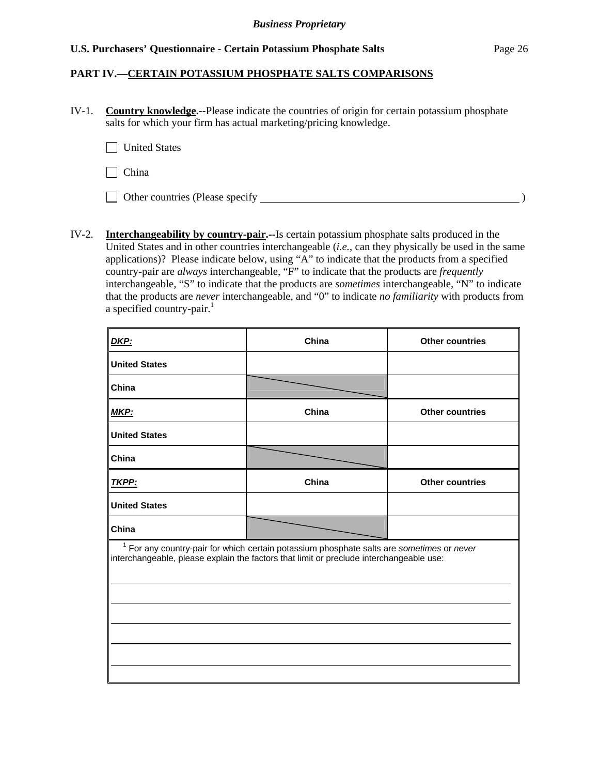### **PART IV.—CERTAIN POTASSIUM PHOSPHATE SALTS COMPARISONS**

IV-1. **Country knowledge.--**Please indicate the countries of origin for certain potassium phosphate salts for which your firm has actual marketing/pricing knowledge.

**United States** 

 $\Box$  China

□ Other countries (Please specify  $\Box$ 

IV-2. **Interchangeability by country-pair.--**Is certain potassium phosphate salts produced in the United States and in other countries interchangeable (*i.e.*, can they physically be used in the same applications)? Please indicate below, using "A" to indicate that the products from a specified country-pair are *always* interchangeable, "F" to indicate that the products are *frequently* interchangeable, "S" to indicate that the products are *sometimes* interchangeable, "N" to indicate that the products are *never* interchangeable, and "0" to indicate *no familiarity* with products from a specified country-pair. $<sup>1</sup>$ </sup>

| DKP:                                                                                                                                                                                   | China | <b>Other countries</b> |  |  |  |  |  |
|----------------------------------------------------------------------------------------------------------------------------------------------------------------------------------------|-------|------------------------|--|--|--|--|--|
| <b>United States</b>                                                                                                                                                                   |       |                        |  |  |  |  |  |
| China                                                                                                                                                                                  |       |                        |  |  |  |  |  |
| <b>MKP:</b>                                                                                                                                                                            | China | <b>Other countries</b> |  |  |  |  |  |
| <b>United States</b>                                                                                                                                                                   |       |                        |  |  |  |  |  |
| China                                                                                                                                                                                  |       |                        |  |  |  |  |  |
| TKPP:                                                                                                                                                                                  | China | <b>Other countries</b> |  |  |  |  |  |
| <b>United States</b>                                                                                                                                                                   |       |                        |  |  |  |  |  |
| China                                                                                                                                                                                  |       |                        |  |  |  |  |  |
| $1$ For any country-pair for which certain potassium phosphate salts are sometimes or never<br>interchangeable, please explain the factors that limit or preclude interchangeable use: |       |                        |  |  |  |  |  |
|                                                                                                                                                                                        |       |                        |  |  |  |  |  |
|                                                                                                                                                                                        |       |                        |  |  |  |  |  |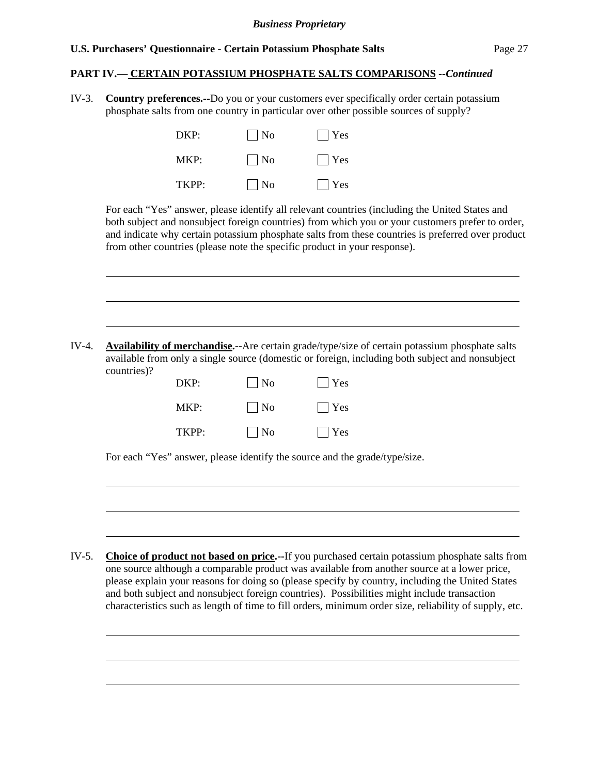l

l

 $\overline{a}$ 

#### **PART IV.— CERTAIN POTASSIUM PHOSPHATE SALTS COMPARISONS** *--Continued*

IV-3. **Country preferences.--**Do you or your customers ever specifically order certain potassium phosphate salts from one country in particular over other possible sources of supply?

| DKP:  | $\vert$   No | $ $ Yes               |
|-------|--------------|-----------------------|
| MKP:  | $\vert$   No | $\lceil \, \vert$ Yes |
| TKPP: | $\vert$   No | $\vert$ Yes           |

For each "Yes" answer, please identify all relevant countries (including the United States and both subject and nonsubject foreign countries) from which you or your customers prefer to order, and indicate why certain potassium phosphate salts from these countries is preferred over product from other countries (please note the specific product in your response).

IV-4. **Availability of merchandise.--**Are certain grade/type/size of certain potassium phosphate salts available from only a single source (domestic or foreign, including both subject and nonsubject countries)?

| DKP:  | $\vert$ $\vert$ No | $ $   Yes          |
|-------|--------------------|--------------------|
| MKP:  | $\Box$ No          | $\blacksquare$ Yes |
| TKPP: | $\vert$ No         | $\Box$ Yes         |

For each "Yes" answer, please identify the source and the grade/type/size.

IV-5. **Choice of product not based on price.--**If you purchased certain potassium phosphate salts from one source although a comparable product was available from another source at a lower price, please explain your reasons for doing so (please specify by country, including the United States and both subject and nonsubject foreign countries). Possibilities might include transaction characteristics such as length of time to fill orders, minimum order size, reliability of supply, etc.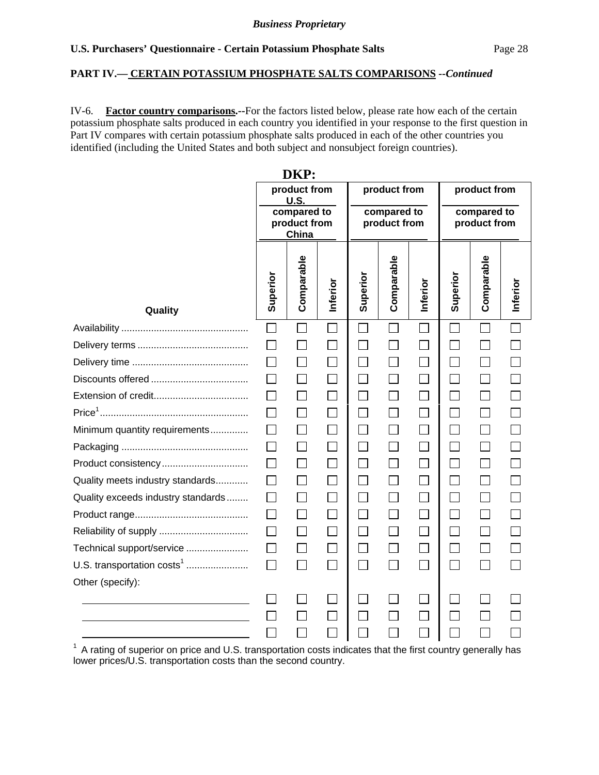#### **PART IV.— CERTAIN POTASSIUM PHOSPHATE SALTS COMPARISONS** *--Continued*

IV-6. **Factor country comparisons.--**For the factors listed below, please rate how each of the certain potassium phosphate salts produced in each country you identified in your response to the first question in Part IV compares with certain potassium phosphate salts produced in each of the other countries you identified (including the United States and both subject and nonsubject foreign countries).

| DNF:                                   |                                                                                                             |                   |          |                                             |            |                            |          |                          |              |
|----------------------------------------|-------------------------------------------------------------------------------------------------------------|-------------------|----------|---------------------------------------------|------------|----------------------------|----------|--------------------------|--------------|
|                                        | product from<br>product from<br>U.S.<br>compared to<br>compared to<br>product from<br>product from<br>China |                   |          | product from<br>compared to<br>product from |            |                            |          |                          |              |
| Quality                                | Superior                                                                                                    | Comparable        | Inferior | Superior                                    | Comparable | Inferior                   | Superior | Comparable               | Inferior     |
|                                        | $\sim$                                                                                                      |                   | L.       |                                             |            |                            |          | $\mathbf{L}$             | $\mathbf{L}$ |
|                                        |                                                                                                             |                   |          |                                             |            |                            |          |                          |              |
|                                        | $\mathsf{L}$                                                                                                | $\blacksquare$    |          | $\overline{\phantom{a}}$                    |            |                            |          | $\sim 1$                 |              |
|                                        |                                                                                                             |                   |          |                                             |            |                            |          |                          |              |
|                                        |                                                                                                             | $\mathbf{I}$      |          | $\mathcal{L}$                               |            |                            |          | $\mathbf{L}$             |              |
|                                        |                                                                                                             |                   |          |                                             |            |                            |          |                          |              |
| Minimum quantity requirements          |                                                                                                             |                   |          |                                             |            |                            |          |                          |              |
|                                        |                                                                                                             |                   |          |                                             |            |                            |          |                          |              |
|                                        | $\mathsf{L}$                                                                                                | $\Box$            |          | П                                           |            | П                          |          | П                        |              |
| Quality meets industry standards       | $\Box$                                                                                                      | $\vert \ \ \vert$ |          | $\Box$                                      |            |                            |          | $\overline{\phantom{a}}$ |              |
| Quality exceeds industry standards     |                                                                                                             | $\blacksquare$    |          |                                             |            |                            |          | $\sim$                   |              |
|                                        | $\mathsf{L}$                                                                                                | $\vert \ \ \vert$ |          | $\Box$                                      |            | $\mathcal{L}^{\text{max}}$ |          | $\mathsf{L}$             |              |
|                                        |                                                                                                             |                   |          |                                             |            |                            |          |                          |              |
| Technical support/service              | $\Box$                                                                                                      | $\blacksquare$    |          | $\Box$                                      |            |                            |          |                          |              |
| U.S. transportation costs <sup>1</sup> |                                                                                                             |                   |          |                                             |            |                            |          |                          |              |
| Other (specify):                       |                                                                                                             |                   |          |                                             |            |                            |          |                          |              |
|                                        |                                                                                                             |                   |          |                                             |            |                            |          |                          |              |
|                                        |                                                                                                             |                   |          |                                             |            |                            |          |                          |              |
|                                        |                                                                                                             |                   |          |                                             |            |                            |          |                          |              |

**DIZD** 

 $1$  A rating of superior on price and U.S. transportation costs indicates that the first country generally has lower prices/U.S. transportation costs than the second country.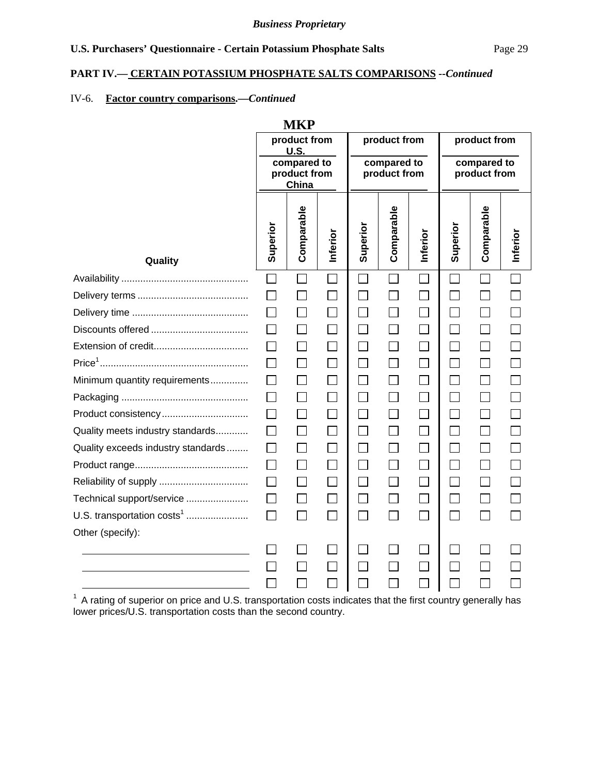#### **PART IV.— CERTAIN POTASSIUM PHOSPHATE SALTS COMPARISONS** *--Continued*

## IV-6. **Factor country comparisons.—***Continued*

|                                        |              | <b>MKP</b>                           |          |                             |               |          |                             |              |          |
|----------------------------------------|--------------|--------------------------------------|----------|-----------------------------|---------------|----------|-----------------------------|--------------|----------|
|                                        |              | product from<br><b>U.S.</b>          |          | product from<br>compared to |               |          | product from                |              |          |
|                                        |              | compared to<br>product from<br>China |          |                             | product from  |          | compared to<br>product from |              |          |
| Quality                                | Superior     | Comparable                           | Inferior | Superior                    | Comparable    | Inferior | Superior                    | Comparable   | Inferior |
|                                        | $\Box$       | $\mathbb{R}^n$                       | $\Box$   | $\mathcal{L}$               | $\sim$        |          | $\Box$                      | $\Box$       | П        |
|                                        | $\Box$       |                                      |          | $\Box$                      |               | $\Box$   | $\Box$                      | $\Box$       |          |
|                                        | $\mathbf{L}$ | $\overline{\phantom{a}}$             |          | ΙI                          |               | $\Box$   | $\Box$                      | $\Box$       |          |
|                                        |              |                                      |          | $\overline{\phantom{a}}$    |               | $\Box$   | П                           | $\Box$       |          |
|                                        |              |                                      |          | П                           |               | $\Box$   | $\Box$                      | $\Box$       |          |
|                                        | $\perp$      | $\mathsf{L}$                         |          | $\Box$                      |               | $\Box$   | $\Box$                      | $\Box$       |          |
| Minimum quantity requirements          | $\Box$       |                                      |          | $\Box$                      | $\mathcal{L}$ | $\Box$   | $\Box$                      | $\mathbf{L}$ |          |
|                                        | $\Box$       | $\Box$                               | $\Box$   | П                           | $\Box$        | $\Box$   | $\Box$                      | $\Box$       |          |
| Product consistency                    | $\Box$       | $\Box$                               | $\Box$   | $\Box$                      | $\Box$        | $\Box$   | $\Box$                      | $\Box$       |          |
| Quality meets industry standards       | $\Box$       |                                      |          |                             |               | $\Box$   | $\Box$                      | $\Box$       |          |
| Quality exceeds industry standards     | $\Box$       | $\Box$                               | $\Box$   | $\Box$                      |               | $\Box$   | $\Box$                      | $\Box$       |          |
|                                        | $\Box$       | $\Box$                               | $\Box$   | $\Box$                      | $\Box$        | $\Box$   | $\Box$                      | $\Box$       |          |
|                                        |              |                                      |          |                             |               | $\Box$   | $\Box$                      | $\Box$       |          |
| Technical support/service              | $\Box$       | $\Box$                               | $\Box$   | П                           |               | $\Box$   | $\Box$                      | $\Box$       |          |
| U.S. transportation costs <sup>1</sup> | $\Box$       | П                                    | $\Box$   | П                           | $\Box$        | $\Box$   | $\Box$                      | П            | П        |
| Other (specify):                       |              |                                      |          |                             |               |          |                             |              |          |
|                                        |              |                                      |          |                             |               | $\Box$   | $\Box$                      |              |          |
|                                        |              |                                      |          |                             |               |          | $\Box$                      |              |          |
|                                        |              |                                      |          |                             |               |          | $\Box$                      |              |          |

 $1$  A rating of superior on price and U.S. transportation costs indicates that the first country generally has lower prices/U.S. transportation costs than the second country.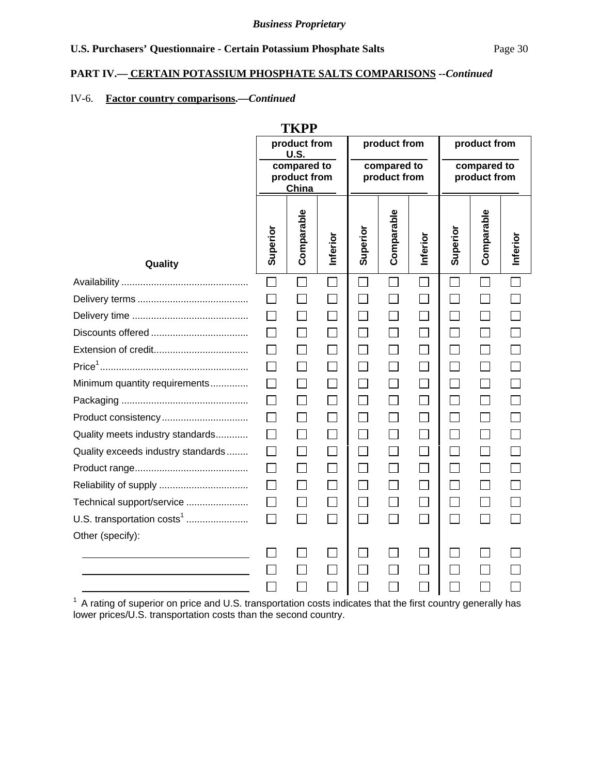#### **PART IV.— CERTAIN POTASSIUM PHOSPHATE SALTS COMPARISONS** *--Continued*

## IV-6. **Factor country comparisons.—***Continued*

| TKPP                                   |                                                     |              |              |                                             |              |                             |                                             |              |          |
|----------------------------------------|-----------------------------------------------------|--------------|--------------|---------------------------------------------|--------------|-----------------------------|---------------------------------------------|--------------|----------|
|                                        | product from<br>U.S.<br>compared to<br>product from |              |              | product from<br>compared to<br>product from |              |                             | product from<br>compared to<br>product from |              |          |
|                                        |                                                     | China        |              |                                             |              |                             |                                             |              |          |
| Quality                                | Superior                                            | Comparable   | Inferior     | Superior                                    | Comparable   | Inferior                    | Superior                                    | Comparable   | Inferior |
|                                        | $\Box$                                              | $\mathsf{I}$ | $\Box$       | $\Box$                                      | $\Box$       |                             |                                             |              |          |
|                                        | $\Box$                                              | ×            | n an an Aon  | $\overline{\phantom{a}}$                    |              | $\Box$                      |                                             |              |          |
|                                        | П                                                   | $\mathsf{L}$ | $\mathsf{L}$ | П                                           | $\mathsf{L}$ | $\mathbb{R}^2$              |                                             | $\mathbf{I}$ |          |
|                                        |                                                     |              |              | $\Box$                                      |              |                             |                                             |              |          |
|                                        |                                                     |              | $\mathsf{L}$ | $\mathbf{L}$                                |              | $\mathsf{L}$                |                                             |              |          |
|                                        | $\Box$                                              | $\Box$       | $\Box$       | П                                           | П            | $\Box$                      | $\Box$                                      | $\Box$       |          |
| Minimum quantity requirements          |                                                     |              | $\Box$       | П                                           |              |                             |                                             |              |          |
|                                        | $\mathsf{L}$                                        |              |              | $\Box$                                      |              | $\Box$                      |                                             |              |          |
| Product consistency                    | $\mathsf{L}$                                        | $\mathsf{I}$ | $\Box$       | $\Box$                                      |              |                             |                                             |              |          |
| Quality meets industry standards       | $\Box$                                              | $\Box$       | $\Box$       | $\Box$                                      | $\Box$       | $\Box$                      |                                             |              |          |
| Quality exceeds industry standards     | $\mathsf{L}$                                        | $\mathbf{I}$ | $\Box$       | $\Box$                                      |              | $\Box$                      |                                             |              |          |
|                                        |                                                     |              |              | $\Box$                                      |              |                             |                                             |              |          |
|                                        | П                                                   | $\mathsf{L}$ | $\Box$       | $\Box$                                      |              | $\mathcal{L}^{\mathcal{A}}$ |                                             |              |          |
| Technical support/service              | $\Box$                                              | $\mathsf{I}$ | $\Box$       | $\Box$                                      | $\mathsf{L}$ | $\vert \ \ \vert$           | $\blacksquare$                              |              |          |
| U.S. transportation costs <sup>1</sup> | П                                                   | $\Box$       | $\Box$       | $\Box$                                      | П            |                             | $\mathbb{R}^n$                              |              |          |
| Other (specify):                       |                                                     |              |              |                                             |              |                             |                                             |              |          |
|                                        |                                                     |              |              |                                             |              |                             |                                             |              |          |
|                                        |                                                     |              | $\Box$       |                                             |              |                             |                                             |              |          |
|                                        |                                                     |              | $\Box$       |                                             |              |                             |                                             |              |          |

 $1$  A rating of superior on price and U.S. transportation costs indicates that the first country generally has lower prices/U.S. transportation costs than the second country.